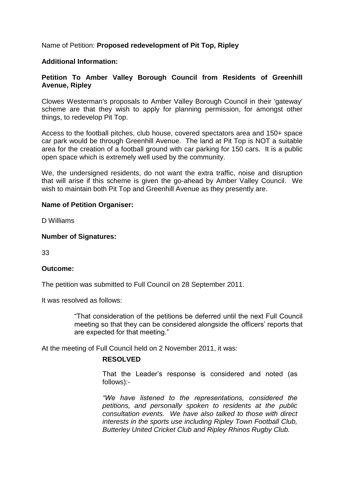Name of Petition: **Proposed redevelopment of Pit Top, Ripley**

### **Additional Information:**

## **Petition To Amber Valley Borough Council from Residents of Greenhill Avenue, Ripley**

Clowes Westerman's proposals to Amber Valley Borough Council in their 'gateway' scheme are that they wish to apply for planning permission, for amongst other things, to redevelop Pit Top.

Access to the football pitches, club house, covered spectators area and 150+ space car park would be through Greenhill Avenue. The land at Pit Top is NOT a suitable area for the creation of a football ground with car parking for 150 cars. It is a public open space which is extremely well used by the community.

We, the undersigned residents, do not want the extra traffic, noise and disruption that will arise if this scheme is given the go-ahead by Amber Valley Council. We wish to maintain both Pit Top and Greenhill Avenue as they presently are.

### **Name of Petition Organiser:**

D Williams

### **Number of Signatures:**

33

### **Outcome:**

The petition was submitted to Full Council on 28 September 2011.

It was resolved as follows:

"That consideration of the petitions be deferred until the next Full Council meeting so that they can be considered alongside the officers' reports that are expected for that meeting."

At the meeting of Full Council held on 2 November 2011, it was:

# **RESOLVED**

That the Leader's response is considered and noted (as follows):-

*"We have listened to the representations,considered the petitions, and personally spoken to residents at the public consultation events. We have also talked to those with direct interests in the sports use including Ripley Town Football Club, Butterley United Cricket Club and Ripley Rhinos Rugby Club.*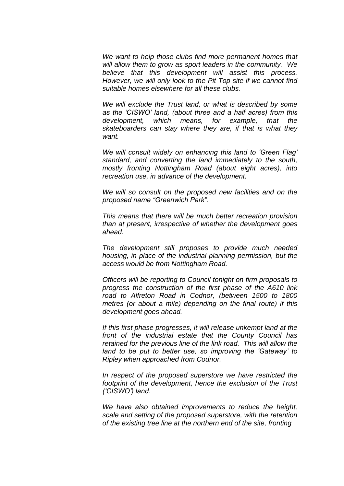*We want to help those clubs find more permanent homes that will allow them to grow as sport leaders in the community. We believe that this development will assist this process. However, we will only look to the Pit Top site if we cannot find suitable homes elsewhere for all these clubs.*

*We will exclude the Trust land, or what is described by some* as the 'CISWO' land, (about three and a half acres) from this *development, which means, for example, that the skateboarders can stay where they are, if that is what they want.*

*We will consult widely on enhancing this land to 'Green Flag' standard, and converting the land immediately to the south, mostly fronting Nottingham Road (about eight acres), into recreation use, in advance of the development.*

*We will so consult on the proposed new facilities and on the proposedname"GreenwichPark".*

*This means that there will be much better recreation provision than at present, irrespective of whether the development goes ahead.*

*The development still proposes to provide much needed housing, in place of the industrial planning permission, but the access would be from Nottingham Road.*

*Officers will be reporting to Council tonight on firm proposals to progress the construction of the first phase of the A610 link road to Alfreton Road in Codnor, (between 1500 to 1800 metres (or about a mile) depending on the final route) if this development goes ahead.*

*If this first phase progresses, it will release unkempt land at the front of the industrial estate that the County Council has retained for the previous line of the link road. This will allow the* land to be put to better use, so improving the 'Gateway' to *Ripley when approached from Codnor.*

*In respect of the proposed superstore we have restricted the footprint of the development, hence the exclusion of the Trust ('CISWO')land.*

*We have also obtained improvements to reduce the height, scale and setting of the proposed superstore, with the retention of the existing tree line at the northern end of the site, fronting*